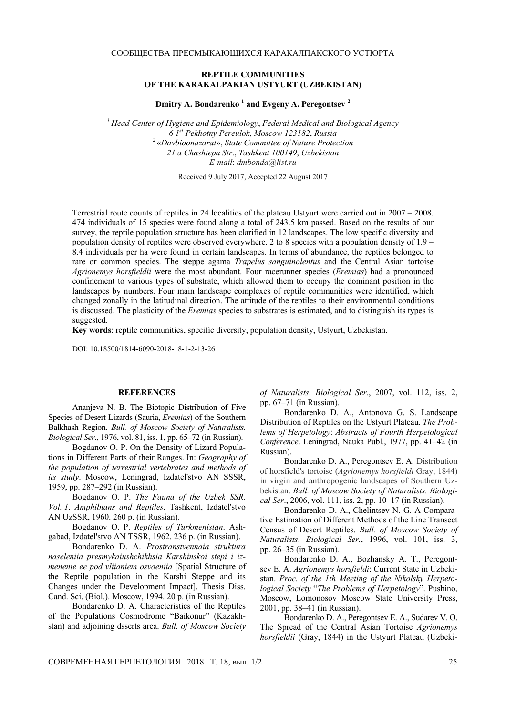## **REPTILE COMMUNITIES OF THE KARAKALPAKIAN USTYURT (UZBEKISTAN)**

**Dmitry A. Bondarenko <sup>1</sup> and Evgeny A. Peregontsev <sup>2</sup>**

*<sup>1</sup> Head Center of Hygiene and Epidemiology*, *Federal Medical and Biological Agency 6 1st Pekhotny Pereulok*, *Moscow 123182*, *Russia <sup>2</sup>* «*Davbioonazarat*», *State Committee of Nature Protection 21 a Chashtepa Str*., *Tashkent 100149*, *Uzbekistan E-mail*: *dmbonda*@*list.ru*

Received 9 July 2017, Accepted 22 August 2017

Terrestrial route counts of reptiles in 24 localities of the plateau Ustyurt were carried out in 2007 – 2008. 474 individuals of 15 species were found along a total of 243.5 km passed. Based on the results of our survey, the reptile population structure has been clarified in 12 landscapes. The low specific diversity and population density of reptiles were observed everywhere. 2 to 8 species with a population density of 1.9 – 8.4 individuals per ha were found in certain landscapes. In terms of abundance, the reptiles belonged to rare or common species. The steppe agama *Trapelus sanguinolentus* and the Central Asian tortoise *Agrionemys horsfieldii* were the most abundant. Four racerunner species (*Eremias*) had a pronounced confinement to various types of substrate, which allowed them to occupy the dominant position in the landscapes by numbers. Four main landscape complexes of reptile communities were identified, which changed zonally in the latitudinal direction. The attitude of the reptiles to their environmental conditions is discussed. The plasticity of the *Eremias* species to substrates is estimated, and to distinguish its types is suggested.

**Key words**: reptile communities, specific diversity, population density, Ustyurt, Uzbekistan.

DOI: 10.18500/1814-6090-2018-18-1-2-13-26

## **REFERENCES**

Ananjeva N. B. The Biotopic Distribution of Five Species of Desert Lizards (Sauria, *Eremias*) of the Southern Balkhash Region. *Bull. of Moscow Society of Naturalists. Biological Ser*., 1976, vol. 81, iss. 1, pp. 65–72 (in Russian).

Bogdanov O. P. On the Density of Lizard Populations in Different Parts of their Ranges. In: *Geography of the population of terrestrial vertebrates and methods of its study*. Moscow, Leningrad, Izdatel'stvo AN SSSR, 1959, pp. 287–292 (in Russian).

Bogdanov O. P. *The Fauna of the Uzbek SSR*. *Vol. 1*. *Amphibians and Reptiles*. Tashkent, Izdatel'stvo AN UzSSR, 1960. 260 p. (in Russian).

Bogdanov O. P. *Reptiles of Turkmenistan*. Ashgabad, Izdatel'stvo AN TSSR, 1962. 236 p. (in Russian).

Bondarenko D. A. *Prostranstvennaia struktura naseleniia presmykaiushchikhsia Karshinskoi stepi i izmenenie ee pod vliianiem osvoeniia* [Spatial Structure of the Reptile population in the Karshi Steppe and its Changes under the Development Impact]. Thesis Diss. Cand. Sci. (Biol.). Moscow, 1994. 20 p. (in Russian).

Bondarenko D. A. Characteristics of the Reptiles of the Populations Cosmodrome "Baikonur" (Kazakhstan) and adjoining dsserts area. *Bull. of Moscow Society*  *of Naturalists*. *Biological Ser.*, 2007, vol. 112, iss. 2, pp. 67–71 (in Russian).

Bondarenko D. A., Antonova G. S. Landscape Distribution of Reptiles on the Ustyurt Plateau. *The Problems of Herpetology*: *Abstracts of Fourth Herpetological Conference*. Leningrad, Nauka Publ., 1977, pp. 41–42 (in Russian).

Bondarenko D. A., Peregontsev E. A. Distribution of horsfield's tortoise (*Agrionemys horsfieldi* Gray, 1844) in virgin and anthropogenic landscapes of Southern Uzbekistan. *Bull. of Moscow Society of Naturalists. Biological Ser*., 2006, vol. 111, iss. 2, pp. 10–17 (in Russian).

Bondarenko D. A., Chelintsev N. G. A Comparative Estimation of Different Methods of the Line Transect Census of Desert Reptiles. *Bull. of Moscow Society of Naturalists*. *Biological Ser.*, 1996, vol. 101, iss. 3, pp. 26–35 (in Russian).

Bondarenko D. A., Bozhansky А. T., Peregontsev E. A. *Agrionemys horsfieldi*: Current State in Uzbekistan. *Proc. of the 1th Meeting of the Nikolsky Herpetological Society* "*The Problems of Herpetology*". Pushino, Moscow, Lomonosov Moscow State University Press, 2001, pp. 38–41 (in Russian).

Bondarenko D. A., Peregontsev E. A., Sudarev V. O. The Spread of the Central Asian Tortoise *Agrionemys horsfieldii* (Gray, 1844) in the Ustyurt Plateau (Uzbeki